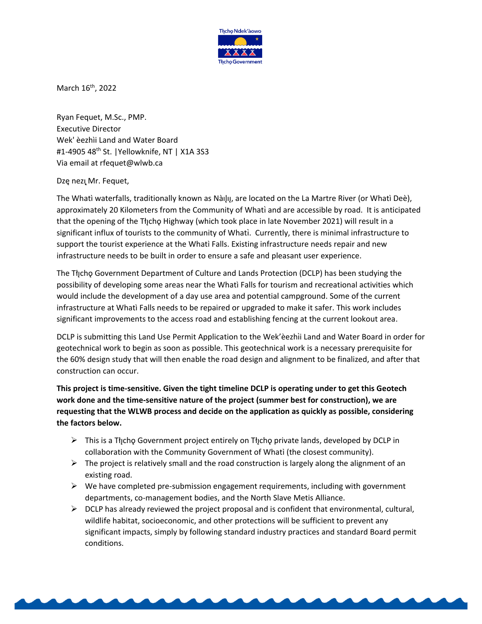

March 16<sup>th</sup>, 2022

Ryan Fequet, M.Sc., PMP. Executive Director Wek' èezhìi Land and Water Board #1-4905 48<sup>th</sup> St. | Yellowknife, NT | X1A 3S3 Via email at rfequet@wlwb.ca

## Dzę nezų Mr. Fequet,

The Whatì waterfalls, traditionally known as Nàilu, are located on the La Martre River (or Whatì Deè), approximately 20 Kilometers from the Community of Whati and are accessible by road. It is anticipated that the opening of the Tłıcho Highway (which took place in late November 2021) will result in a significant influx of tourists to the community of Whati. Currently, there is minimal infrastructure to support the tourist experience at the Whati Falls. Existing infrastructure needs repair and new infrastructure needs to be built in order to ensure a safe and pleasant user experience.

The Tłįcho Government Department of Culture and Lands Protection (DCLP) has been studying the possibility of developing some areas near the Whatì Falls for tourism and recreational activities which would include the development of a day use area and potential campground. Some of the current infrastructure at Whatì Falls needs to be repaired or upgraded to make it safer. This work includes significant improvements to the access road and establishing fencing at the current lookout area.

DCLP is submitting this Land Use Permit Application to the Wek'èezhii Land and Water Board in order for geotechnical work to begin as soon as possible. This geotechnical work is a necessary prerequisite for the 60% design study that will then enable the road design and alignment to be finalized, and after that construction can occur.

**This project is time-sensitive. Given the tight timeline DCLP is operating under to get this Geotech work done and the time-sensitive nature of the project (summer best for construction), we are requesting that the WLWB process and decide on the application as quickly as possible, considering the factors below.**

- $\triangleright$  This is a Theorget Government project entirely on Theorgo private lands, developed by DCLP in collaboration with the Community Government of Whati (the closest community).
- $\triangleright$  The project is relatively small and the road construction is largely along the alignment of an existing road.
- $\triangleright$  We have completed pre-submission engagement requirements, including with government departments, co-management bodies, and the North Slave Metis Alliance.
- $\triangleright$  DCLP has already reviewed the project proposal and is confident that environmental, cultural, wildlife habitat, socioeconomic, and other protections will be sufficient to prevent any significant impacts, simply by following standard industry practices and standard Board permit conditions.